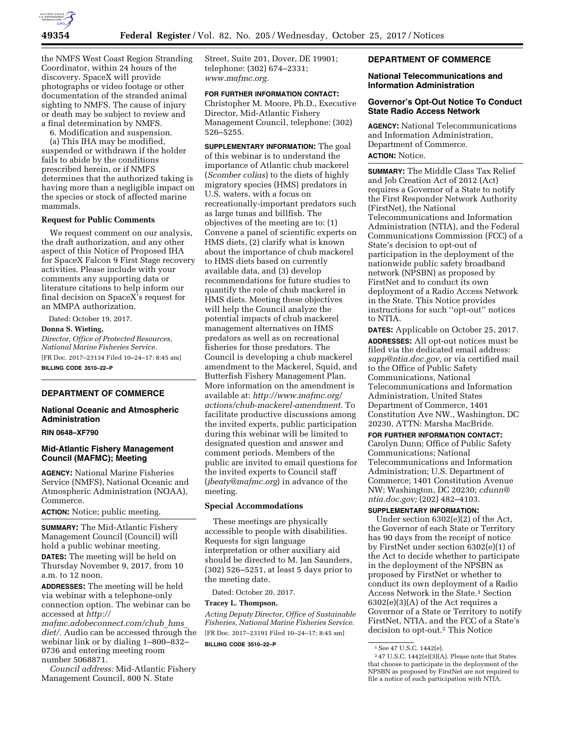

the NMFS West Coast Region Stranding Coordinator, within 24 hours of the discovery. SpaceX will provide photographs or video footage or other documentation of the stranded animal sighting to NMFS. The cause of injury or death may be subject to review and a final determination by NMFS.

6. Modification and suspension.

(a) This IHA may be modified, suspended or withdrawn if the holder fails to abide by the conditions prescribed herein, or if NMFS determines that the authorized taking is having more than a negligible impact on the species or stock of affected marine mammals.

#### **Request for Public Comments**

We request comment on our analysis, the draft authorization, and any other aspect of this Notice of Proposed IHA for SpaceX Falcon 9 First Stage recovery activities. Please include with your comments any supporting data or literature citations to help inform our final decision on SpaceX's request for an MMPA authorization.

Dated: October 19, 2017.

**Donna S. Wieting,** 

*Director, Office of Protected Resources, National Marine Fisheries Service.*  [FR Doc. 2017–23134 Filed 10–24–17; 8:45 am]

**BILLING CODE 3510–22–P** 

# **DEPARTMENT OF COMMERCE**

# **National Oceanic and Atmospheric Administration**

#### **RIN 0648–XF790**

#### **Mid-Atlantic Fishery Management Council (MAFMC); Meeting**

**AGENCY:** National Marine Fisheries Service (NMFS), National Oceanic and Atmospheric Administration (NOAA), Commerce.

**ACTION:** Notice; public meeting.

**SUMMARY:** The Mid-Atlantic Fishery Management Council (Council) will hold a public webinar meeting. **DATES:** The meeting will be held on Thursday November 9, 2017, from 10

a.m. to 12 noon. **ADDRESSES:** The meeting will be held via webinar with a telephone-only connection option. The webinar can be

accessed at *[http://](http://mafmc.adobeconnect.com/chub_hms_diet/) [mafmc.adobeconnect.com/chub](http://mafmc.adobeconnect.com/chub_hms_diet/)*\_*hms*\_

[diet/.](http://mafmc.adobeconnect.com/chub_hms_diet/) Audio can be accessed through the webinar link or by dialing 1–800–832– 0736 and entering meeting room number 5068871.

*Council address:* Mid-Atlantic Fishery Management Council, 800 N. State

Street, Suite 201, Dover, DE 19901; telephone: (302) 674–2331; *[www.mafmc.org.](http://www.mafmc.org)* 

#### **FOR FURTHER INFORMATION CONTACT:**

Christopher M. Moore, Ph.D., Executive Director, Mid-Atlantic Fishery Management Council, telephone: (302) 526–5255.

**SUPPLEMENTARY INFORMATION:** The goal of this webinar is to understand the importance of Atlantic chub mackerel (*Scomber colias*) to the diets of highly migratory species (HMS) predators in U.S. waters, with a focus on recreationally-important predators such as large tunas and billfish. The objectives of the meeting are to: (1) Convene a panel of scientific experts on HMS diets, (2) clarify what is known about the importance of chub mackerel to HMS diets based on currently available data, and (3) develop recommendations for future studies to quantify the role of chub mackerel in HMS diets. Meeting these objectives will help the Council analyze the potential impacts of chub mackerel management alternatives on HMS predators as well as on recreational fisheries for those predators. The Council is developing a chub mackerel amendment to the Mackerel, Squid, and Butterfish Fishery Management Plan. More information on the amendment is available at: *[http://www.mafmc.org/](http://www.mafmc.org/actions/chub-mackerel-amendment)  [actions/chub-mackerel-amendment.](http://www.mafmc.org/actions/chub-mackerel-amendment)* To facilitate productive discussions among the invited experts, public participation during this webinar will be limited to designated question and answer and comment periods. Members of the public are invited to email questions for the invited experts to Council staff (*[jbeaty@mafmc.org](mailto:jbeaty@mafmc.org)*) in advance of the meeting.

#### **Special Accommodations**

These meetings are physically accessible to people with disabilities. Requests for sign language interpretation or other auxiliary aid should be directed to M. Jan Saunders, (302) 526–5251, at least 5 days prior to the meeting date.

Dated: October 20, 2017.

## **Tracey L. Thompson,**

*Acting Deputy Director, Office of Sustainable Fisheries, National Marine Fisheries Service.*  [FR Doc. 2017–23191 Filed 10–24–17; 8:45 am]

**BILLING CODE 3510–22–P** 

## **DEPARTMENT OF COMMERCE**

### **National Telecommunications and Information Administration**

### **Governor's Opt-Out Notice To Conduct State Radio Access Network**

**AGENCY:** National Telecommunications and Information Administration, Department of Commerce. **ACTION:** Notice.

**SUMMARY:** The Middle Class Tax Relief and Job Creation Act of 2012 (Act) requires a Governor of a State to notify the First Responder Network Authority (FirstNet), the National Telecommunications and Information Administration (NTIA), and the Federal Communications Commission (FCC) of a State's decision to opt-out of participation in the deployment of the nationwide public safety broadband network (NPSBN) as proposed by FirstNet and to conduct its own deployment of a Radio Access Network in the State. This Notice provides instructions for such ''opt-out'' notices to NTIA.

**DATES:** Applicable on October 25, 2017. **ADDRESSES:** All opt-out notices must be filed via the dedicated email address: *[sapp@ntia.doc.gov,](mailto:sapp@ntia.doc.gov)* or via certified mail to the Office of Public Safety Communications, National Telecommunications and Information Administration, United States Department of Commerce, 1401 Constitution Ave NW., Washington, DC 20230, ATTN: Marsha MacBride.

## **FOR FURTHER INFORMATION CONTACT:**

Carolyn Dunn; Office of Public Safety Communications; National Telecommunications and Information Administration; U.S. Department of Commerce; 1401 Constitution Avenue NW; Washington, DC 20230; *[cdunn@](mailto:cdunn@ntia.doc.gov) [ntia.doc.gov;](mailto:cdunn@ntia.doc.gov)* (202) 482–4103.

### **SUPPLEMENTARY INFORMATION:**

Under section 6302(e)(2) of the Act, the Governor of each State or Territory has 90 days from the receipt of notice by FirstNet under section 6302(e)(1) of the Act to decide whether to participate in the deployment of the NPSBN as proposed by FirstNet or whether to conduct its own deployment of a Radio Access Network in the State.1 Section  $6302(e)(3)(A)$  of the Act requires a Governor of a State or Territory to notify FirstNet, NTIA, and the FCC of a State's decision to opt-out.2 This Notice

<sup>1</sup>See 47 U.S.C. 1442(e).

<sup>2</sup> 47 U.S.C. 1442(e)(3)(A). Please note that States that choose to participate in the deployment of the NPSBN as proposed by FirstNet are not required to file a notice of such participation with NTIA.